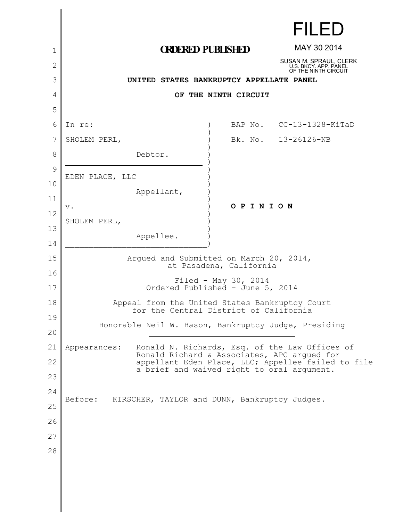|          |                                                                    |         | <b>FILED</b>                                                            |
|----------|--------------------------------------------------------------------|---------|-------------------------------------------------------------------------|
| 1        | <b>ORDERED PUBLISHED</b>                                           |         | MAY 30 2014                                                             |
| 2        |                                                                    |         | SUSAN M. SPRAUL, CLERK<br>U.S. BKCY. APP. PANEL<br>OF THE NINTH CIRCUIT |
| 3        | UNITED STATES BANKRUPTCY APPELLATE PANEL                           |         |                                                                         |
| 4        | OF THE NINTH CIRCUIT                                               |         |                                                                         |
| 5        |                                                                    |         |                                                                         |
| 6        | In re:                                                             | BAP No. | $CC-13-1328-KiTaD$                                                      |
| 7        | SHOLEM PERL,                                                       |         | Bk. No. 13-26126-NB                                                     |
| 8        | Debtor.                                                            |         |                                                                         |
| 9        | EDEN PLACE, LLC                                                    |         |                                                                         |
| 10       | Appellant,                                                         |         |                                                                         |
| 11       | $\mathbf v$ .                                                      | OPINION |                                                                         |
| 12       | SHOLEM PERL,                                                       |         |                                                                         |
| 13       | Appellee.                                                          |         |                                                                         |
| 14       |                                                                    |         |                                                                         |
| 15       | Arqued and Submitted on March 20, 2014,<br>at Pasadena, California |         |                                                                         |
| 16<br>17 | Filed - May 30, 2014<br>Ordered Published - June 5, 2014           |         |                                                                         |
| 18       | Appeal from the United States Bankruptcy Court                     |         |                                                                         |
| 19       | for the Central District of California                             |         |                                                                         |
| 20       | Honorable Neil W. Bason, Bankruptcy Judge, Presiding               |         |                                                                         |
| 21       | Appearances:                                                       |         | Ronald N. Richards, Esq. of the Law Offices of                          |
| 22       | Ronald Richard & Associates, APC argued for                        |         | appellant Eden Place, LLC; Appellee failed to file                      |
| 23       | a brief and waived right to oral argument.                         |         |                                                                         |
| 24       |                                                                    |         |                                                                         |
| 25       | Before:<br>KIRSCHER, TAYLOR and DUNN, Bankruptcy Judges.           |         |                                                                         |
| 26       |                                                                    |         |                                                                         |
| 27       |                                                                    |         |                                                                         |
| 28       |                                                                    |         |                                                                         |
|          |                                                                    |         |                                                                         |
|          |                                                                    |         |                                                                         |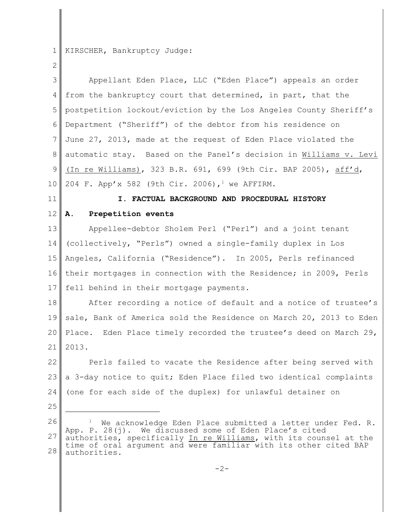1 KIRSCHER, Bankruptcy Judge:

2 3 4 5 6 7 8 9 10 11 12 13 14 15 16 17 18 19 20 21 22 23 24 25 26 27 28 Appellant Eden Place, LLC ("Eden Place") appeals an order from the bankruptcy court that determined, in part, that the postpetition lockout/eviction by the Los Angeles County Sheriff's Department ("Sheriff") of the debtor from his residence on June 27, 2013, made at the request of Eden Place violated the automatic stay. Based on the Panel's decision in Williams v. Levi (In re Williams), 323 B.R. 691, 699 (9th Cir. BAP 2005), aff'd, 204 F. App'x 582 (9th Cir. 2006),<sup>1</sup> we AFFIRM. **I. FACTUAL BACKGROUND AND PROCEDURAL HISTORY A. Prepetition events** Appellee-debtor Sholem Perl ("Perl") and a joint tenant (collectively, "Perls") owned a single-family duplex in Los Angeles, California ("Residence"). In 2005, Perls refinanced their mortgages in connection with the Residence; in 2009, Perls fell behind in their mortgage payments. After recording a notice of default and a notice of trustee's sale, Bank of America sold the Residence on March 20, 2013 to Eden Place. Eden Place timely recorded the trustee's deed on March 29, 2013. Perls failed to vacate the Residence after being served with a 3-day notice to quit; Eden Place filed two identical complaints (one for each side of the duplex) for unlawful detainer on We acknowledge Eden Place submitted a letter under Fed. R. App. P. 28(j). We discussed some of Eden Place's cited authorities, specifically In re Williams, with its counsel at the time of oral argument and were familiar with its other cited BAP authorities.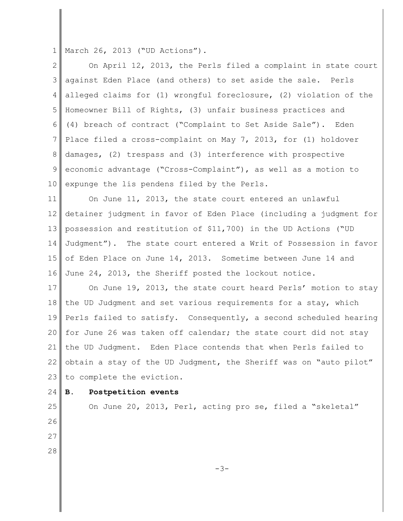1 March 26, 2013 ("UD Actions").

| $\mathbf{2}^{\mathsf{I}}$ | On April 12, 2013, the Perls filed a complaint in state court      |
|---------------------------|--------------------------------------------------------------------|
| 3                         | against Eden Place (and others) to set aside the sale. Perls       |
| 4                         | alleged claims for (1) wrongful foreclosure, (2) violation of the  |
| 5                         | Homeowner Bill of Rights, (3) unfair business practices and        |
| 6                         | (4) breach of contract ("Complaint to Set Aside Sale"). Eden       |
| 7                         | Place filed a cross-complaint on May 7, 2013, for (1) holdover     |
| 8                         | damages, (2) trespass and (3) interference with prospective        |
| 9                         | economic advantage ("Cross-Complaint"), as well as a motion to     |
| 10 <sup>°</sup>           | expunge the lis pendens filed by the Perls.                        |
| 11                        | On June 11, 2013, the state court entered an unlawful              |
| 12                        | detainer judgment in favor of Eden Place (including a judgment for |
| 13                        | possession and restitution of \$11,700) in the UD Actions ("UD     |
| 14                        | Judgment"). The state court entered a Writ of Possession in favor  |
| 15                        | of Eden Place on June 14, 2013. Sometime between June 14 and       |
| 16                        | June 24, 2013, the Sheriff posted the lockout notice.              |
| 17                        | On June 19, 2013, the state court heard Perls' motion to stay      |
| 18                        | the UD Judgment and set various requirements for a stay, which     |
| 19                        | Perls failed to satisfy. Consequently, a second scheduled hearing  |
| 20                        | for June 26 was taken off calendar; the state court did not stay   |
| 21                        | the UD Judgment. Eden Place contends that when Perls failed to     |
| 22                        | obtain a stay of the UD Judgment, the Sheriff was on "auto pilot"  |
| 23                        | to complete the eviction.                                          |
| 24                        | Postpetition events<br>В.                                          |
| $25\,$                    | On June 20, 2013, Perl, acting pro se, filed a "skeletal"          |

26

27 28

-3-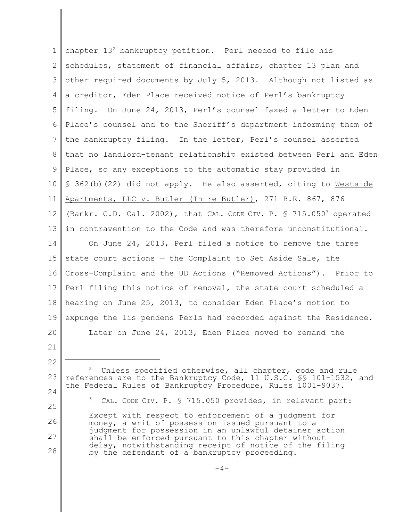1 2 3 4 5 6 7 8 9 10 11 12 13 14 15 16 17 18 19 20 21 22 23 24 25 26 27 28 chapter 13<sup>2</sup> bankruptcy petition. Perl needed to file his schedules, statement of financial affairs, chapter 13 plan and other required documents by July 5, 2013. Although not listed as a creditor, Eden Place received notice of Perl's bankruptcy filing. On June 24, 2013, Perl's counsel faxed a letter to Eden Place's counsel and to the Sheriff's department informing them of the bankruptcy filing. In the letter, Perl's counsel asserted that no landlord-tenant relationship existed between Perl and Eden Place, so any exceptions to the automatic stay provided in § 362(b)(22) did not apply. He also asserted, citing to Westside Apartments, LLC v. Butler (In re Butler), 271 B.R. 867, 876 (Bankr. C.D. Cal. 2002), that CAL. CODE CIV. P. § 715.050<sup>3</sup> operated in contravention to the Code and was therefore unconstitutional. On June 24, 2013, Perl filed a notice to remove the three state court actions — the Complaint to Set Aside Sale, the Cross-Complaint and the UD Actions ("Removed Actions"). Prior to Perl filing this notice of removal, the state court scheduled a hearing on June 25, 2013, to consider Eden Place's motion to expunge the lis pendens Perls had recorded against the Residence. Later on June 24, 2013, Eden Place moved to remand the Unless specified otherwise, all chapter, code and rule references are to the Bankruptcy Code, 11 U.S.C. §§ 101-1532, and the Federal Rules of Bankruptcy Procedure, Rules 1001-9037.  $3$  CAL. CODE CIV. P.  $\frac{1}{5}$  715.050 provides, in relevant part: Except with respect to enforcement of a judgment for money, a writ of possession issued pursuant to a judgment for possession in an unlawful detainer action shall be enforced pursuant to this chapter without delay, notwithstanding receipt of notice of the filing by the defendant of a bankruptcy proceeding.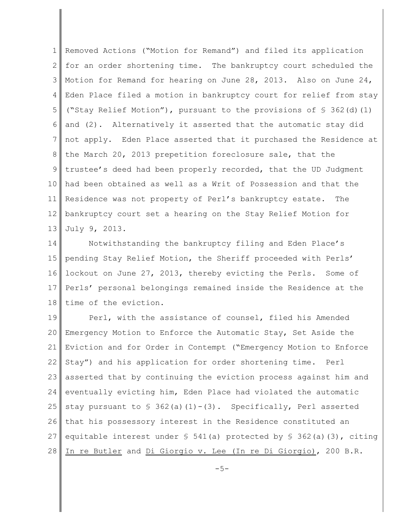1 2 3 4 5 6 7 8 9 10 11 12 13 Removed Actions ("Motion for Remand") and filed its application for an order shortening time. The bankruptcy court scheduled the Motion for Remand for hearing on June 28, 2013. Also on June 24, Eden Place filed a motion in bankruptcy court for relief from stay ("Stay Relief Motion"), pursuant to the provisions of § 362(d)(1) and (2). Alternatively it asserted that the automatic stay did not apply. Eden Place asserted that it purchased the Residence at the March 20, 2013 prepetition foreclosure sale, that the trustee's deed had been properly recorded, that the UD Judgment had been obtained as well as a Writ of Possession and that the Residence was not property of Perl's bankruptcy estate. The bankruptcy court set a hearing on the Stay Relief Motion for July 9, 2013.

14 15 16 17 18 Notwithstanding the bankruptcy filing and Eden Place's pending Stay Relief Motion, the Sheriff proceeded with Perls' lockout on June 27, 2013, thereby evicting the Perls. Some of Perls' personal belongings remained inside the Residence at the time of the eviction.

19 20 21 22 23 24 25 26 27 28 Perl, with the assistance of counsel, filed his Amended Emergency Motion to Enforce the Automatic Stay, Set Aside the Eviction and for Order in Contempt ("Emergency Motion to Enforce Stay") and his application for order shortening time. Perl asserted that by continuing the eviction process against him and eventually evicting him, Eden Place had violated the automatic stay pursuant to  $\frac{1}{5}$  362(a)(1)-(3). Specifically, Perl asserted that his possessory interest in the Residence constituted an equitable interest under  $\S$  541(a) protected by  $\S$  362(a)(3), citing In re Butler and Di Giorgio v. Lee (In re Di Giorgio), 200 B.R.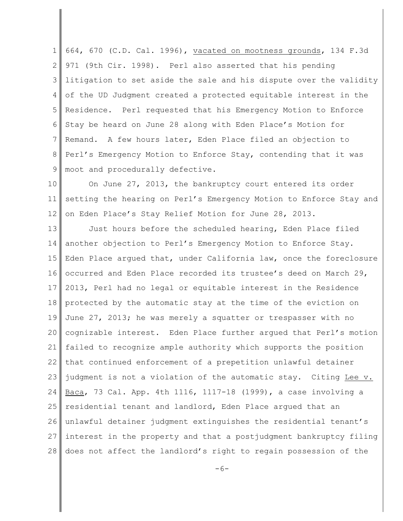1 2 3 4 5 6 7 8 9 664, 670 (C.D. Cal. 1996), vacated on mootness grounds, 134 F.3d 971 (9th Cir. 1998). Perl also asserted that his pending litigation to set aside the sale and his dispute over the validity of the UD Judgment created a protected equitable interest in the Residence. Perl requested that his Emergency Motion to Enforce Stay be heard on June 28 along with Eden Place's Motion for Remand. A few hours later, Eden Place filed an objection to Perl's Emergency Motion to Enforce Stay, contending that it was moot and procedurally defective.

10 11 12 On June 27, 2013, the bankruptcy court entered its order setting the hearing on Perl's Emergency Motion to Enforce Stay and on Eden Place's Stay Relief Motion for June 28, 2013.

13 14 15 16 17 18 19 20 21 22 23 24 25 26 27 28 Just hours before the scheduled hearing, Eden Place filed another objection to Perl's Emergency Motion to Enforce Stay. Eden Place argued that, under California law, once the foreclosure occurred and Eden Place recorded its trustee's deed on March 29, 2013, Perl had no legal or equitable interest in the Residence protected by the automatic stay at the time of the eviction on June 27, 2013; he was merely a squatter or trespasser with no cognizable interest. Eden Place further argued that Perl's motion failed to recognize ample authority which supports the position that continued enforcement of a prepetition unlawful detainer judgment is not a violation of the automatic stay. Citing Lee v. Baca, 73 Cal. App. 4th 1116, 1117-18 (1999), a case involving a residential tenant and landlord, Eden Place argued that an unlawful detainer judgment extinguishes the residential tenant's interest in the property and that a postjudgment bankruptcy filing does not affect the landlord's right to regain possession of the

 $-6-$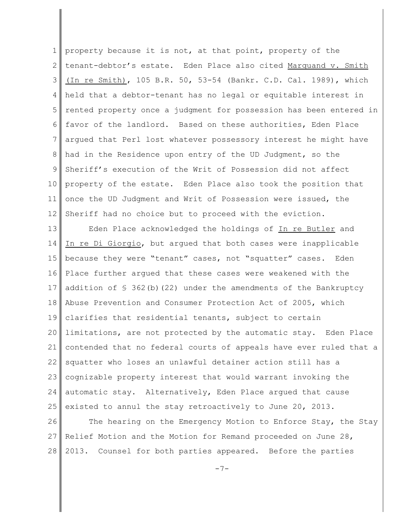1 2 3 4 5 6 7 8 9 10 11 12 property because it is not, at that point, property of the tenant-debtor's estate. Eden Place also cited Marquand v. Smith (In re Smith), 105 B.R. 50, 53-54 (Bankr. C.D. Cal. 1989), which held that a debtor-tenant has no legal or equitable interest in rented property once a judgment for possession has been entered in favor of the landlord. Based on these authorities, Eden Place argued that Perl lost whatever possessory interest he might have had in the Residence upon entry of the UD Judgment, so the Sheriff's execution of the Writ of Possession did not affect property of the estate. Eden Place also took the position that once the UD Judgment and Writ of Possession were issued, the Sheriff had no choice but to proceed with the eviction.

13 14 15 16 17 18 19 20 21 22 23 24 25 Eden Place acknowledged the holdings of In re Butler and In re Di Giorgio, but argued that both cases were inapplicable because they were "tenant" cases, not "squatter" cases. Eden Place further argued that these cases were weakened with the addition of  $\frac{1}{5}$  362(b)(22) under the amendments of the Bankruptcy Abuse Prevention and Consumer Protection Act of 2005, which clarifies that residential tenants, subject to certain limitations, are not protected by the automatic stay. Eden Place contended that no federal courts of appeals have ever ruled that a squatter who loses an unlawful detainer action still has a cognizable property interest that would warrant invoking the automatic stay. Alternatively, Eden Place argued that cause existed to annul the stay retroactively to June 20, 2013.

26 27 28 The hearing on the Emergency Motion to Enforce Stay, the Stay Relief Motion and the Motion for Remand proceeded on June 28, 2013. Counsel for both parties appeared. Before the parties

 $-7-$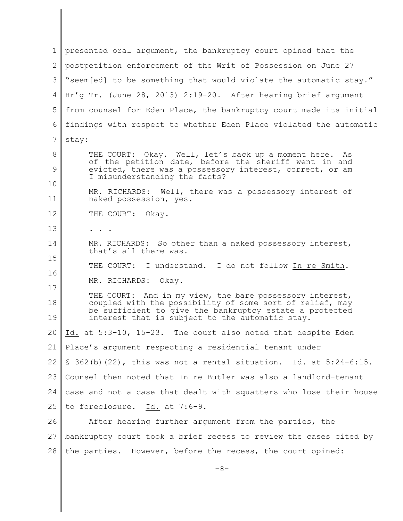1 2 3 4 5 6 7 8 9 10 11 12 13 14 15 16 17 18 19 20 21 22 23 24 25 26 27 28 presented oral argument, the bankruptcy court opined that the postpetition enforcement of the Writ of Possession on June 27 "seem[ed] to be something that would violate the automatic stay." Hr'g Tr. (June 28, 2013) 2:19-20. After hearing brief argument from counsel for Eden Place, the bankruptcy court made its initial findings with respect to whether Eden Place violated the automatic stay: THE COURT: Okay. Well, let's back up a moment here. As of the petition date, before the sheriff went in and evicted, there was a possessory interest, correct, or am I misunderstanding the facts? MR. RICHARDS: Well, there was a possessory interest of naked possession, yes. THE COURT: Okay. . . . MR. RICHARDS: So other than a naked possessory interest, that's all there was. THE COURT: I understand. I do not follow In re Smith. MR. RICHARDS: Okay. THE COURT: And in my view, the bare possessory interest, coupled with the possibility of some sort of relief, may be sufficient to give the bankruptcy estate a protected interest that is subject to the automatic stay. Id. at 5:3-10, 15-23. The court also noted that despite Eden Place's argument respecting a residential tenant under  $\S$  362(b)(22), this was not a rental situation. Id. at  $5:24-6:15$ . Counsel then noted that In re Butler was also a landlord-tenant case and not a case that dealt with squatters who lose their house to foreclosure. Id. at 7:6-9. After hearing further argument from the parties, the bankruptcy court took a brief recess to review the cases cited by the parties. However, before the recess, the court opined: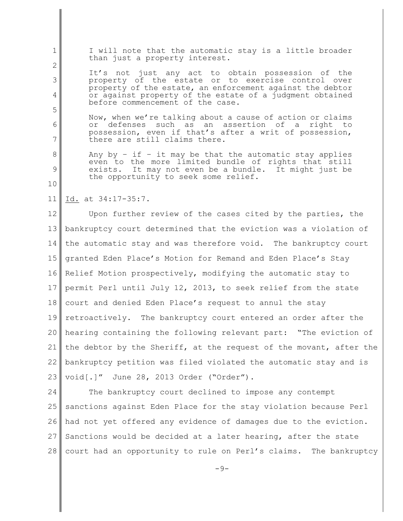I will note that the automatic stay is a little broader than just a property interest.

It's not just any act to obtain possession of the property of the estate or to exercise control over property of the estate, an enforcement against the debtor or against property of the estate of a judgment obtained before commencement of the case.

Now, when we're talking about a cause of action or claims or defenses such as an assertion of a right to possession, even if that's after a writ of possession, there are still claims there.

Any by  $-$  if  $-$  it may be that the automatic stay applies even to the more limited bundle of rights that still exists. It may not even be a bundle. It might just be the opportunity to seek some relief.

## 11 Id. at 34:17-35:7.

1

2

3

4

5

6

7

8

9

10

12 13 14 15 16 17 18 19 20 21 22 23 Upon further review of the cases cited by the parties, the bankruptcy court determined that the eviction was a violation of the automatic stay and was therefore void. The bankruptcy court granted Eden Place's Motion for Remand and Eden Place's Stay Relief Motion prospectively, modifying the automatic stay to permit Perl until July 12, 2013, to seek relief from the state court and denied Eden Place's request to annul the stay retroactively. The bankruptcy court entered an order after the hearing containing the following relevant part: "The eviction of the debtor by the Sheriff, at the request of the movant, after the bankruptcy petition was filed violated the automatic stay and is void[.]" June 28, 2013 Order ("Order").

24 25 26 27 28 The bankruptcy court declined to impose any contempt sanctions against Eden Place for the stay violation because Perl had not yet offered any evidence of damages due to the eviction. Sanctions would be decided at a later hearing, after the state court had an opportunity to rule on Perl's claims. The bankruptcy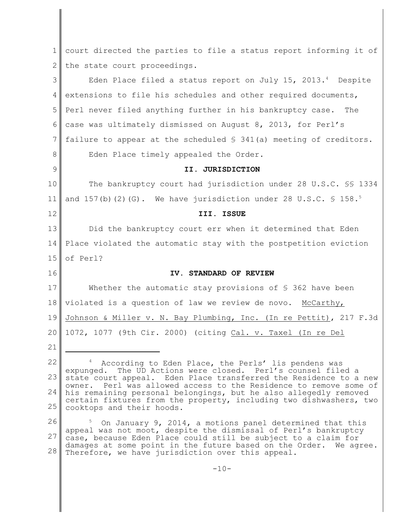1 2 3 4 5 6 7 8 9 10 11 12 13 14 15 16 17 18 19 20 21 22 23 24 25 26 27 28 court directed the parties to file a status report informing it of the state court proceedings. Eden Place filed a status report on July 15, 2013. $4$  Despite extensions to file his schedules and other required documents, Perl never filed anything further in his bankruptcy case. The case was ultimately dismissed on August 8, 2013, for Perl's failure to appear at the scheduled  $\frac{1}{2}$  341(a) meeting of creditors. Eden Place timely appealed the Order. **II. JURISDICTION** The bankruptcy court had jurisdiction under 28 U.S.C. §§ 1334 and  $157(b)$  (2)(G). We have jurisdiction under 28 U.S.C. § 158.<sup>5</sup> **III. ISSUE** Did the bankruptcy court err when it determined that Eden Place violated the automatic stay with the postpetition eviction of Perl? **IV. STANDARD OF REVIEW** Whether the automatic stay provisions of  $\S$  362 have been violated is a question of law we review de novo. McCarthy, Johnson & Miller v. N. Bay Plumbing, Inc. (In re Pettit), 217 F.3d 1072, 1077 (9th Cir. 2000) (citing Cal. v. Taxel (In re Del <sup>4</sup> According to Eden Place, the Perls' lis pendens was expunged. The UD Actions were closed. Perl's counsel filed a state court appeal. Eden Place transferred the Residence to a new owner. Perl was allowed access to the Residence to remove some of his remaining personal belongings, but he also allegedly removed certain fixtures from the property, including two dishwashers, two cooktops and their hoods. On January 9, 2014, a motions panel determined that this appeal was not moot, despite the dismissal of Perl's bankruptcy case, because Eden Place could still be subject to a claim for damages at some point in the future based on the Order. We agree. Therefore, we have jurisdiction over this appeal.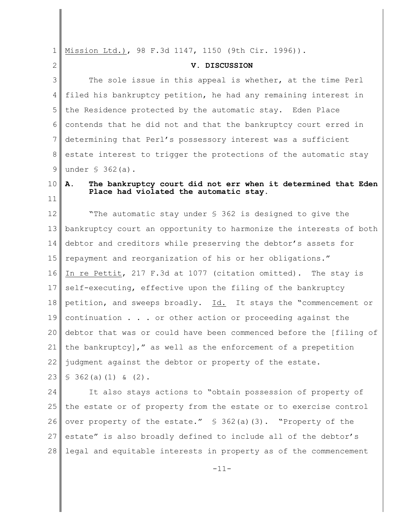1 2 3 4 5 6 7 8 9 10 11 12 13 14 15 16 17 18 19 20 21 22 23 24 25 26 27 28 Mission Ltd.), 98 F.3d 1147, 1150 (9th Cir. 1996)). **V. DISCUSSION** The sole issue in this appeal is whether, at the time Perl filed his bankruptcy petition, he had any remaining interest in the Residence protected by the automatic stay. Eden Place contends that he did not and that the bankruptcy court erred in determining that Perl's possessory interest was a sufficient estate interest to trigger the protections of the automatic stay under § 362(a). **A. The bankruptcy court did not err when it determined that Eden Place had violated the automatic stay.** "The automatic stay under § 362 is designed to give the bankruptcy court an opportunity to harmonize the interests of both debtor and creditors while preserving the debtor's assets for repayment and reorganization of his or her obligations." In re Pettit, 217 F.3d at 1077 (citation omitted). The stay is self-executing, effective upon the filing of the bankruptcy petition, and sweeps broadly. Id. It stays the "commencement or continuation . . . or other action or proceeding against the debtor that was or could have been commenced before the [filing of the bankruptcy]," as well as the enforcement of a prepetition judgment against the debtor or property of the estate.  $$362(a)(1)$  & (2). It also stays actions to "obtain possession of property of the estate or of property from the estate or to exercise control over property of the estate."  $\frac{1}{2}$  362(a)(3). "Property of the estate" is also broadly defined to include all of the debtor's legal and equitable interests in property as of the commencement

-11-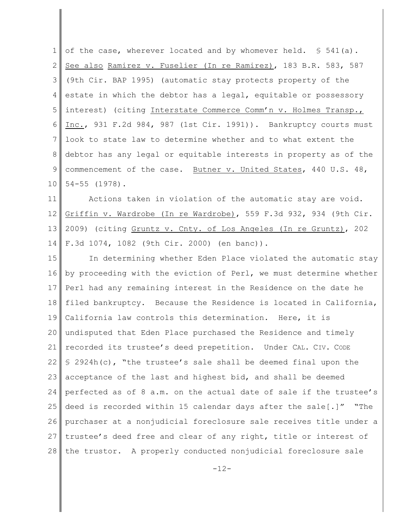1 2 3 4 5 6 7 8 9 10 of the case, wherever located and by whomever held.  $\$$  541(a). See also Ramirez v. Fuselier (In re Ramirez), 183 B.R. 583, 587 (9th Cir. BAP 1995) (automatic stay protects property of the estate in which the debtor has a legal, equitable or possessory interest) (citing Interstate Commerce Comm'n v. Holmes Transp., Inc., 931 F.2d 984, 987 (1st Cir. 1991)). Bankruptcy courts must look to state law to determine whether and to what extent the debtor has any legal or equitable interests in property as of the commencement of the case. Butner v. United States, 440 U.S. 48, 54-55 (1978).

11 12 13 14 Actions taken in violation of the automatic stay are void. Griffin v. Wardrobe (In re Wardrobe), 559 F.3d 932, 934 (9th Cir. 2009) (citing Gruntz v. Cnty. of Los Angeles (In re Gruntz), 202 F.3d 1074, 1082 (9th Cir. 2000) (en banc)).

15 16 17 18 19 20 21 22 23 24 25 26 27 28 In determining whether Eden Place violated the automatic stay by proceeding with the eviction of Perl, we must determine whether Perl had any remaining interest in the Residence on the date he filed bankruptcy. Because the Residence is located in California, California law controls this determination. Here, it is undisputed that Eden Place purchased the Residence and timely recorded its trustee's deed prepetition. Under CAL. CIV. CODE § 2924h(c), "the trustee's sale shall be deemed final upon the acceptance of the last and highest bid, and shall be deemed perfected as of 8 a.m. on the actual date of sale if the trustee's deed is recorded within 15 calendar days after the sale[.]" "The purchaser at a nonjudicial foreclosure sale receives title under a trustee's deed free and clear of any right, title or interest of the trustor. A properly conducted nonjudicial foreclosure sale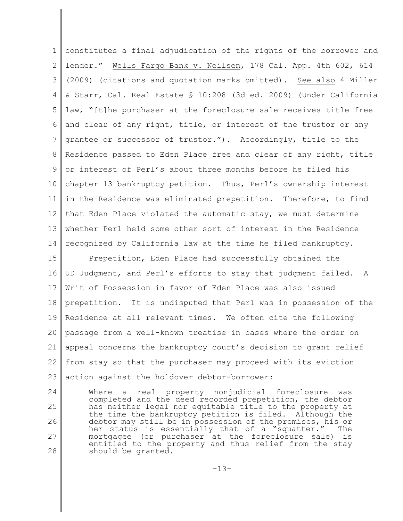1 2 3 4 5 6 7 8 9 10 11 12 13 14 constitutes a final adjudication of the rights of the borrower and lender." Wells Fargo Bank v. Neilsen, 178 Cal. App. 4th 602, 614 (2009) (citations and quotation marks omitted). See also 4 Miller & Starr, Cal. Real Estate § 10:208 (3d ed. 2009) (Under California law, "[t]he purchaser at the foreclosure sale receives title free and clear of any right, title, or interest of the trustor or any grantee or successor of trustor."). Accordingly, title to the Residence passed to Eden Place free and clear of any right, title or interest of Perl's about three months before he filed his chapter 13 bankruptcy petition. Thus, Perl's ownership interest in the Residence was eliminated prepetition. Therefore, to find that Eden Place violated the automatic stay, we must determine whether Perl held some other sort of interest in the Residence recognized by California law at the time he filed bankruptcy.

15 16 17 18 19 20 21 22 23 Prepetition, Eden Place had successfully obtained the UD Judgment, and Perl's efforts to stay that judgment failed. A Writ of Possession in favor of Eden Place was also issued prepetition. It is undisputed that Perl was in possession of the Residence at all relevant times. We often cite the following passage from a well-known treatise in cases where the order on appeal concerns the bankruptcy court's decision to grant relief from stay so that the purchaser may proceed with its eviction action against the holdover debtor-borrower:

24 25 26 27 28 Where a real property nonjudicial foreclosure was completed and the deed recorded prepetition, the debtor has neither legal nor equitable title to the property at the time the bankruptcy petition is filed. Although the debtor may still be in possession of the premises, his or her status is essentially that of a "squatter." The mortgagee (or purchaser at the foreclosure sale) is entitled to the property and thus relief from the stay should be granted.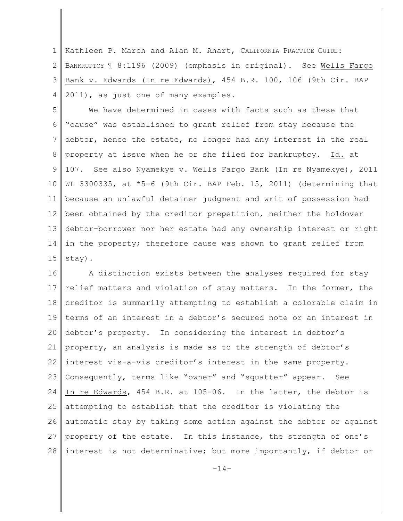1 2 3 4 Kathleen P. March and Alan M. Ahart, CALIFORNIA PRACTICE GUIDE: BANKRUPTCY ¶ 8:1196 (2009) (emphasis in original). See Wells Fargo Bank v. Edwards (In re Edwards), 454 B.R. 100, 106 (9th Cir. BAP 2011), as just one of many examples.

5 6 7 8 9 10 11 12 13 14 15 We have determined in cases with facts such as these that "cause" was established to grant relief from stay because the debtor, hence the estate, no longer had any interest in the real property at issue when he or she filed for bankruptcy. Id. at 107. See also Nyamekye v. Wells Fargo Bank (In re Nyamekye), 2011 WL 3300335, at \*5-6 (9th Cir. BAP Feb. 15, 2011) (determining that because an unlawful detainer judgment and writ of possession had been obtained by the creditor prepetition, neither the holdover debtor-borrower nor her estate had any ownership interest or right in the property; therefore cause was shown to grant relief from stay).

16 17 18 19 20 21 22 23 24 25 26 27 28 A distinction exists between the analyses required for stay relief matters and violation of stay matters. In the former, the creditor is summarily attempting to establish a colorable claim in terms of an interest in a debtor's secured note or an interest in debtor's property. In considering the interest in debtor's property, an analysis is made as to the strength of debtor's interest vis-a-vis creditor's interest in the same property. Consequently, terms like "owner" and "squatter" appear. See In re Edwards, 454 B.R. at 105-06. In the latter, the debtor is attempting to establish that the creditor is violating the automatic stay by taking some action against the debtor or against property of the estate. In this instance, the strength of one's interest is not determinative; but more importantly, if debtor or

 $-14-$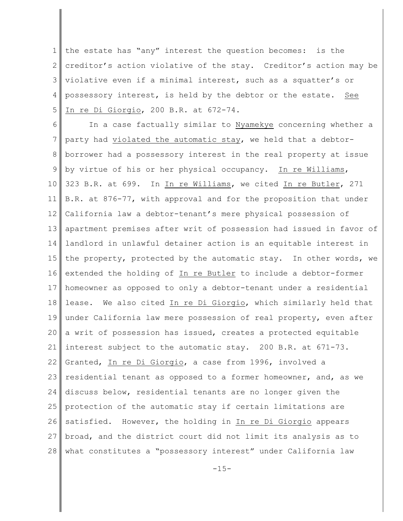1 2 3 4 5 the estate has "any" interest the question becomes: is the creditor's action violative of the stay. Creditor's action may be violative even if a minimal interest, such as a squatter's or possessory interest, is held by the debtor or the estate. See In re Di Giorgio, 200 B.R. at 672-74.

6 7 8 9 10 11 12 13 14 15 16 17 18 19 20 21 22 23 24 25 26 27 28 In a case factually similar to Nyamekye concerning whether a party had violated the automatic stay, we held that a debtorborrower had a possessory interest in the real property at issue by virtue of his or her physical occupancy. In re Williams, 323 B.R. at 699. In In re Williams, we cited In re Butler, 271 B.R. at 876-77, with approval and for the proposition that under California law a debtor-tenant's mere physical possession of apartment premises after writ of possession had issued in favor of landlord in unlawful detainer action is an equitable interest in the property, protected by the automatic stay. In other words, we extended the holding of In re Butler to include a debtor-former homeowner as opposed to only a debtor-tenant under a residential lease. We also cited In re Di Giorgio, which similarly held that under California law mere possession of real property, even after a writ of possession has issued, creates a protected equitable interest subject to the automatic stay. 200 B.R. at 671-73. Granted, In re Di Giorgio, a case from 1996, involved a residential tenant as opposed to a former homeowner, and, as we discuss below, residential tenants are no longer given the protection of the automatic stay if certain limitations are satisfied. However, the holding in In re Di Giorgio appears broad, and the district court did not limit its analysis as to what constitutes a "possessory interest" under California law

 $-15-$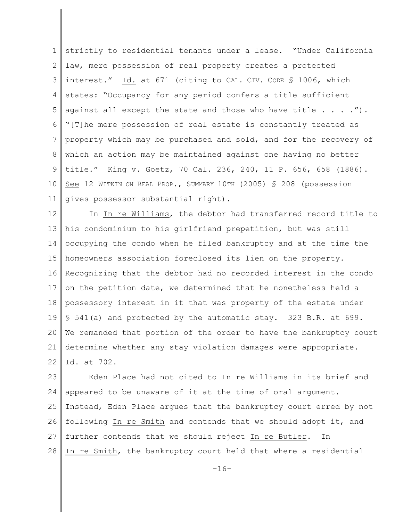1 2 3 4 5 6 7 8 9 10 11 strictly to residential tenants under a lease. "Under California law, mere possession of real property creates a protected interest." Id. at 671 (citing to CAL. CIV. CODE § 1006, which states: "Occupancy for any period confers a title sufficient against all except the state and those who have title  $\ldots$  ..."). "[T]he mere possession of real estate is constantly treated as property which may be purchased and sold, and for the recovery of which an action may be maintained against one having no better title." King v. Goetz, 70 Cal. 236, 240, 11 P. 656, 658 (1886). See 12 WITKIN ON REAL PROP., SUMMARY 10TH (2005) § 208 (possession gives possessor substantial right).

12 13 14 15 16 17 18 19 20 21 22 In In re Williams, the debtor had transferred record title to his condominium to his girlfriend prepetition, but was still occupying the condo when he filed bankruptcy and at the time the homeowners association foreclosed its lien on the property. Recognizing that the debtor had no recorded interest in the condo on the petition date, we determined that he nonetheless held a possessory interest in it that was property of the estate under § 541(a) and protected by the automatic stay. 323 B.R. at 699. We remanded that portion of the order to have the bankruptcy court determine whether any stay violation damages were appropriate. Id. at 702.

23 24 25 26 27 28 Eden Place had not cited to In re Williams in its brief and appeared to be unaware of it at the time of oral argument. Instead, Eden Place argues that the bankruptcy court erred by not following In re Smith and contends that we should adopt it, and further contends that we should reject In re Butler. In In re Smith, the bankruptcy court held that where a residential

 $-16-$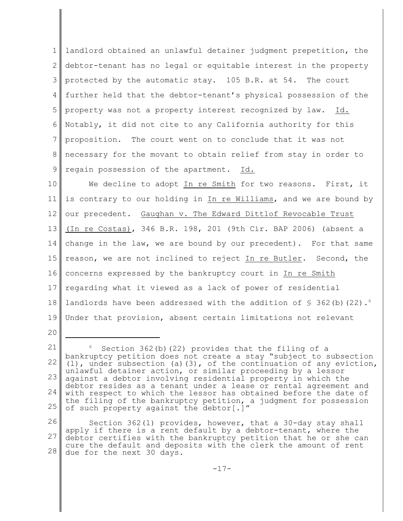1 2 3 4 5 6 7 8 9 landlord obtained an unlawful detainer judgment prepetition, the debtor-tenant has no legal or equitable interest in the property protected by the automatic stay. 105 B.R. at 54. The court further held that the debtor-tenant's physical possession of the property was not a property interest recognized by law. Id. Notably, it did not cite to any California authority for this proposition. The court went on to conclude that it was not necessary for the movant to obtain relief from stay in order to regain possession of the apartment. Id.

10 11 12 13 14 15 16 17 18 19 We decline to adopt In re Smith for two reasons. First, it is contrary to our holding in In re Williams, and we are bound by our precedent. Gaughan v. The Edward Dittlof Revocable Trust (In re Costas), 346 B.R. 198, 201 (9th Cir. BAP 2006) (absent a change in the law, we are bound by our precedent). For that same reason, we are not inclined to reject In re Butler. Second, the concerns expressed by the bankruptcy court in In re Smith regarding what it viewed as a lack of power of residential landlords have been addressed with the addition of  $\frac{1}{5}$  362(b)(22).<sup>6</sup> Under that provision, absent certain limitations not relevant

20

<sup>21</sup> 22 23 24 25 Section  $362(b)$   $(22)$  provides that the filing of a bankruptcy petition does not create a stay "subject to subsection (l), under subsection (a)(3), of the continuation of any eviction, unlawful detainer action, or similar proceeding by a lessor against a debtor involving residential property in which the debtor resides as a tenant under a lease or rental agreement and with respect to which the lessor has obtained before the date of the filing of the bankruptcy petition, a judgment for possession of such property against the debtor[.]"

<sup>26</sup> 27 28 Section 362(l) provides, however, that a 30-day stay shall apply if there is a rent default by a debtor-tenant, where the debtor certifies with the bankruptcy petition that he or she can cure the default and deposits with the clerk the amount of rent due for the next 30 days.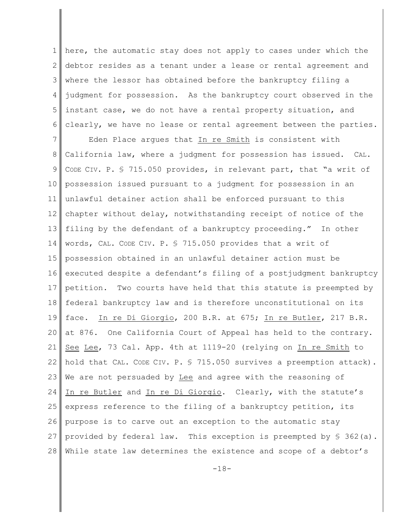1 2 3 4 5 6 here, the automatic stay does not apply to cases under which the debtor resides as a tenant under a lease or rental agreement and where the lessor has obtained before the bankruptcy filing a judgment for possession. As the bankruptcy court observed in the instant case, we do not have a rental property situation, and clearly, we have no lease or rental agreement between the parties.

7 8 9 10 11 12 13 14 15 16 17 18 19 20 21 22 23 24 25 26 27 28 Eden Place argues that In re Smith is consistent with California law, where a judgment for possession has issued. CAL. CODE CIV. P. § 715.050 provides, in relevant part, that "a writ of possession issued pursuant to a judgment for possession in an unlawful detainer action shall be enforced pursuant to this chapter without delay, notwithstanding receipt of notice of the filing by the defendant of a bankruptcy proceeding." In other words, CAL. CODE CIV. P. § 715.050 provides that a writ of possession obtained in an unlawful detainer action must be executed despite a defendant's filing of a postjudgment bankruptcy petition. Two courts have held that this statute is preempted by federal bankruptcy law and is therefore unconstitutional on its face. In re Di Giorgio, 200 B.R. at 675; In re Butler, 217 B.R. at 876. One California Court of Appeal has held to the contrary. See Lee, 73 Cal. App. 4th at 1119-20 (relying on In re Smith to hold that CAL. CODE CIV. P. \$ 715.050 survives a preemption attack). We are not persuaded by Lee and agree with the reasoning of In re Butler and In re Di Giorgio. Clearly, with the statute's express reference to the filing of a bankruptcy petition, its purpose is to carve out an exception to the automatic stay provided by federal law. This exception is preempted by  $\S$  362(a). While state law determines the existence and scope of a debtor's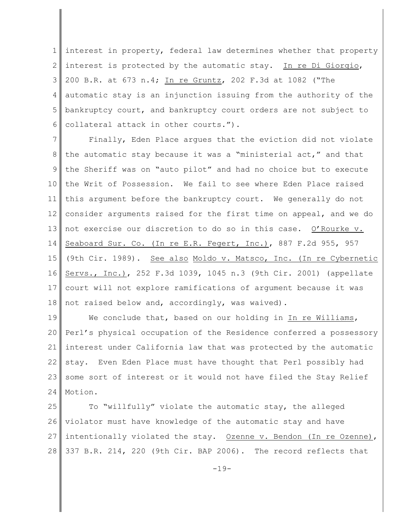1 2 3 4 5 6 interest in property, federal law determines whether that property interest is protected by the automatic stay. In re Di Giorgio, 200 B.R. at 673 n.4; In re Gruntz, 202 F.3d at 1082 ("The automatic stay is an injunction issuing from the authority of the bankruptcy court, and bankruptcy court orders are not subject to collateral attack in other courts.").

7 8 9 10 11 12 13 14 15 16 17 18 Finally, Eden Place argues that the eviction did not violate the automatic stay because it was a "ministerial act," and that the Sheriff was on "auto pilot" and had no choice but to execute the Writ of Possession. We fail to see where Eden Place raised this argument before the bankruptcy court. We generally do not consider arguments raised for the first time on appeal, and we do not exercise our discretion to do so in this case. O'Rourke v. Seaboard Sur. Co. (In re E.R. Fegert, Inc.), 887 F.2d 955, 957 (9th Cir. 1989). See also Moldo v. Matsco, Inc. (In re Cybernetic Servs., Inc.), 252 F.3d 1039, 1045 n.3 (9th Cir. 2001) (appellate court will not explore ramifications of argument because it was not raised below and, accordingly, was waived).

19 20 21 22 23 24 We conclude that, based on our holding in In re Williams, Perl's physical occupation of the Residence conferred a possessory interest under California law that was protected by the automatic stay. Even Eden Place must have thought that Perl possibly had some sort of interest or it would not have filed the Stay Relief Motion.

25 26 27 28 To "willfully" violate the automatic stay, the alleged violator must have knowledge of the automatic stay and have intentionally violated the stay. Ozenne v. Bendon (In re Ozenne), 337 B.R. 214, 220 (9th Cir. BAP 2006). The record reflects that

 $-19-$